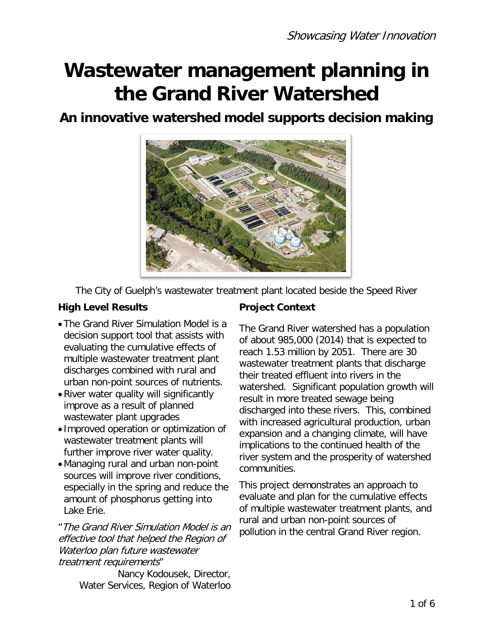# **Wastewater management planning in the Grand River Watershed**

## **An innovative watershed model supports decision making**



The City of Guelph's wastewater treatment plant located beside the Speed River

#### **High Level Results Fight Project Context**

- •The Grand River Simulation Model is a decision support tool that assists with evaluating the cumulative effects of multiple wastewater treatment plant discharges combined with rural and urban non-point sources of nutrients.
- •River water quality will significantly improve as a result of planned wastewater plant upgrades
- Improved operation or optimization of wastewater treatment plants will further improve river water quality.
- •Managing rural and urban non-point sources will improve river conditions, especially in the spring and reduce the amount of phosphorus getting into Lake Erie.

"The Grand River Simulation Model is an effective tool that helped the Region of Waterloo plan future wastewater treatment requirements"

Nancy Kodousek, Director, Water Services, Region of Waterloo

The Grand River watershed has a population of about 985,000 (2014) that is expected to reach 1.53 million by 2051. There are 30 wastewater treatment plants that discharge their treated effluent into rivers in the watershed. Significant population growth will result in more treated sewage being discharged into these rivers. This, combined with increased agricultural production, urban expansion and a changing climate, will have implications to the continued health of the river system and the prosperity of watershed communities.

This project demonstrates an approach to evaluate and plan for the cumulative effects of multiple wastewater treatment plants, and rural and urban non-point sources of pollution in the central Grand River region.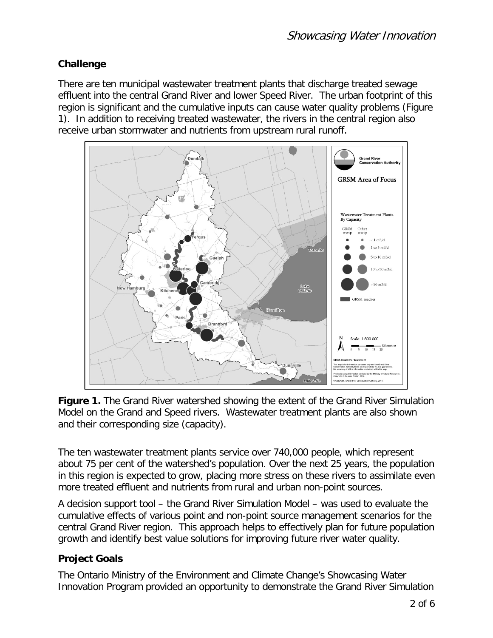#### **Challenge**

There are ten municipal wastewater treatment plants that discharge treated sewage effluent into the central Grand River and lower Speed River. The urban footprint of this region is significant and the cumulative inputs can cause water quality problems (Figure 1). In addition to receiving treated wastewater, the rivers in the central region also receive urban stormwater and nutrients from upstream rural runoff.



**Figure 1.** The Grand River watershed showing the extent of the Grand River Simulation Model on the Grand and Speed rivers. Wastewater treatment plants are also shown and their corresponding size (capacity).

The ten wastewater treatment plants service over 740,000 people, which represent about 75 per cent of the watershed's population. Over the next 25 years, the population in this region is expected to grow, placing more stress on these rivers to assimilate even more treated effluent and nutrients from rural and urban non-point sources.

A decision support tool – the Grand River Simulation Model – was used to evaluate the cumulative effects of various point and non-point source management scenarios for the central Grand River region. This approach helps to effectively plan for future population growth and identify best value solutions for improving future river water quality.

### **Project Goals**

The Ontario Ministry of the Environment and Climate Change's Showcasing Water Innovation Program provided an opportunity to demonstrate the Grand River Simulation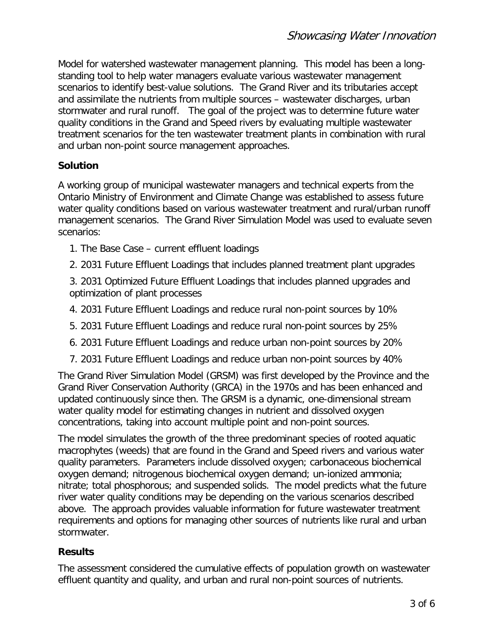Model for watershed wastewater management planning. This model has been a longstanding tool to help water managers evaluate various wastewater management scenarios to identify best-value solutions. The Grand River and its tributaries accept and assimilate the nutrients from multiple sources – wastewater discharges, urban stormwater and rural runoff. The goal of the project was to determine future water quality conditions in the Grand and Speed rivers by evaluating multiple wastewater treatment scenarios for the ten wastewater treatment plants in combination with rural and urban non-point source management approaches.

#### **Solution**

A working group of municipal wastewater managers and technical experts from the Ontario Ministry of Environment and Climate Change was established to assess future water quality conditions based on various wastewater treatment and rural/urban runoff management scenarios. The Grand River Simulation Model was used to evaluate seven scenarios:

- 1. The Base Case current effluent loadings
- 2. 2031 Future Effluent Loadings that includes planned treatment plant upgrades
- 3. 2031 Optimized Future Effluent Loadings that includes planned upgrades and optimization of plant processes
- 4. 2031 Future Effluent Loadings and reduce rural non-point sources by 10%
- 5. 2031 Future Effluent Loadings and reduce rural non-point sources by 25%
- 6. 2031 Future Effluent Loadings and reduce urban non-point sources by 20%
- 7. 2031 Future Effluent Loadings and reduce urban non-point sources by 40%

The Grand River Simulation Model (GRSM) was first developed by the Province and the Grand River Conservation Authority (GRCA) in the 1970s and has been enhanced and updated continuously since then. The GRSM is a dynamic, one-dimensional stream water quality model for estimating changes in nutrient and dissolved oxygen concentrations, taking into account multiple point and non-point sources.

The model simulates the growth of the three predominant species of rooted aquatic macrophytes (weeds) that are found in the Grand and Speed rivers and various water quality parameters. Parameters include dissolved oxygen; carbonaceous biochemical oxygen demand; nitrogenous biochemical oxygen demand; un-ionized ammonia; nitrate; total phosphorous; and suspended solids. The model predicts what the future river water quality conditions may be depending on the various scenarios described above. The approach provides valuable information for future wastewater treatment requirements and options for managing other sources of nutrients like rural and urban stormwater.

#### **Results**

The assessment considered the cumulative effects of population growth on wastewater effluent quantity and quality, and urban and rural non-point sources of nutrients.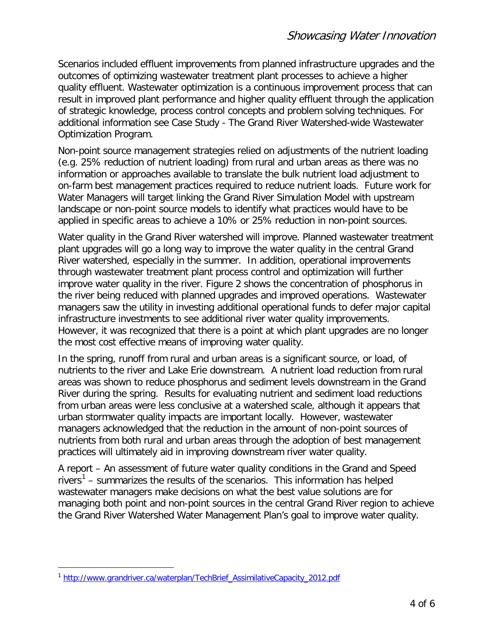Scenarios included effluent improvements from planned infrastructure upgrades and the outcomes of optimizing wastewater treatment plant processes to achieve a higher quality effluent. Wastewater optimization is a continuous improvement process that can result in improved plant performance and higher quality effluent through the application of strategic knowledge, process control concepts and problem solving techniques. For additional information see Case Study - The Grand River Watershed-wide Wastewater Optimization Program.

Non-point source management strategies relied on adjustments of the nutrient loading (e.g. 25% reduction of nutrient loading) from rural and urban areas as there was no information or approaches available to translate the bulk nutrient load adjustment to on-farm best management practices required to reduce nutrient loads. Future work for Water Managers will target linking the Grand River Simulation Model with upstream landscape or non-point source models to identify what practices would have to be applied in specific areas to achieve a 10% or 25% reduction in non-point sources.

Water quality in the Grand River watershed will improve. Planned wastewater treatment plant upgrades will go a long way to improve the water quality in the central Grand River watershed, especially in the summer. In addition, operational improvements through wastewater treatment plant process control and optimization will further improve water quality in the river. Figure 2 shows the concentration of phosphorus in the river being reduced with planned upgrades and improved operations. Wastewater managers saw the utility in investing additional operational funds to defer major capital infrastructure investments to see additional river water quality improvements. However, it was recognized that there is a point at which plant upgrades are no longer the most cost effective means of improving water quality.

In the spring, runoff from rural and urban areas is a significant source, or load, of nutrients to the river and Lake Erie downstream. A nutrient load reduction from rural areas was shown to reduce phosphorus and sediment levels downstream in the Grand River during the spring. Results for evaluating nutrient and sediment load reductions from urban areas were less conclusive at a watershed scale, although it appears that urban stormwater quality impacts are important locally. However, wastewater managers acknowledged that the reduction in the amount of non-point sources of nutrients from both rural and urban areas through the adoption of best management practices will ultimately aid in improving downstream river water quality.

A report – An assessment of future water quality conditions in the Grand and Speed rivers<sup>[1](#page-3-0)</sup> – summarizes the results of the scenarios. This information has helped wastewater managers make decisions on what the best value solutions are for managing both point and non-point sources in the central Grand River region to achieve the Grand River Watershed Water Management Plan's goal to improve water quality.

 $\overline{a}$ 

<span id="page-3-0"></span><sup>&</sup>lt;sup>1</sup> [http://www.grandriver.ca/waterplan/TechBrief\\_AssimilativeCapacity\\_2012.pdf](http://www.grandriver.ca/waterplan/TechBrief_AssimilativeCapacity_2012.pdf)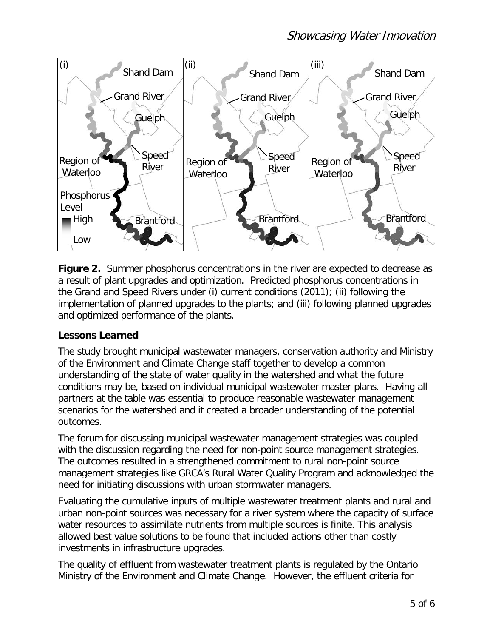

**Figure 2.** Summer phosphorus concentrations in the river are expected to decrease as a result of plant upgrades and optimization. Predicted phosphorus concentrations in the Grand and Speed Rivers under (i) current conditions (2011); (ii) following the implementation of planned upgrades to the plants; and (iii) following planned upgrades and optimized performance of the plants.

#### **Lessons Learned**

The study brought municipal wastewater managers, conservation authority and Ministry of the Environment and Climate Change staff together to develop a common understanding of the state of water quality in the watershed and what the future conditions may be, based on individual municipal wastewater master plans. Having all partners at the table was essential to produce reasonable wastewater management scenarios for the watershed and it created a broader understanding of the potential outcomes.

The forum for discussing municipal wastewater management strategies was coupled with the discussion regarding the need for non-point source management strategies. The outcomes resulted in a strengthened commitment to rural non-point source management strategies like GRCA's Rural Water Quality Program and acknowledged the need for initiating discussions with urban stormwater managers.

Evaluating the cumulative inputs of multiple wastewater treatment plants and rural and urban non-point sources was necessary for a river system where the capacity of surface water resources to assimilate nutrients from multiple sources is finite. This analysis allowed best value solutions to be found that included actions other than costly investments in infrastructure upgrades.

The quality of effluent from wastewater treatment plants is regulated by the Ontario Ministry of the Environment and Climate Change. However, the effluent criteria for